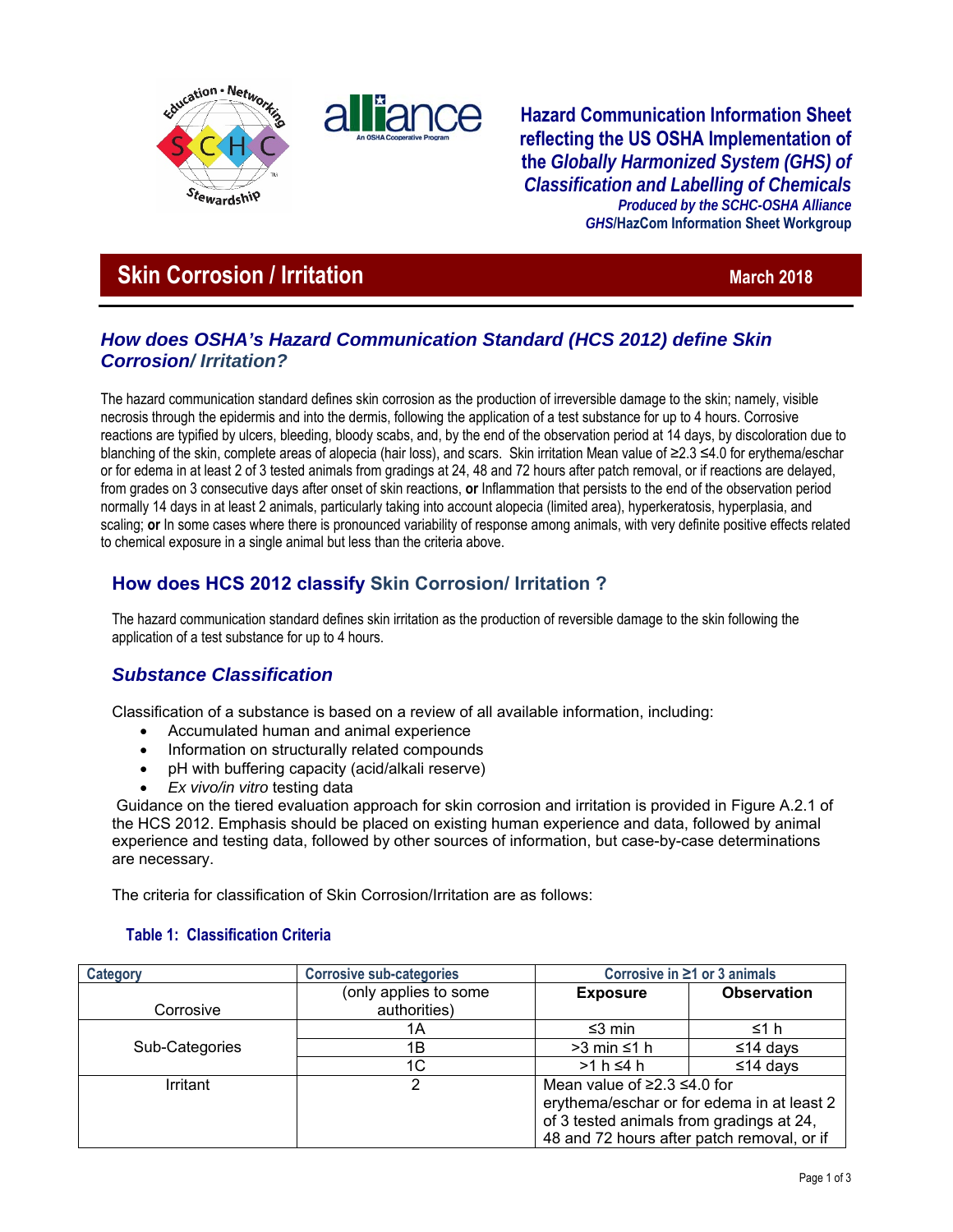



**Hazard Communication Information Sheet reflecting the US OSHA Implementation of the** *Globally Harmonized System (GHS) of Classification and Labelling of Chemicals Produced by the SCHC-OSHA Alliance GHS***/HazCom Information Sheet Workgroup**

# **Skin Corrosion / Irritation March 2018** March 2018

### *How does OSHA's Hazard Communication Standard (HCS 2012) define Skin Corrosion/ Irritation?*

The hazard communication standard defines skin corrosion as the production of irreversible damage to the skin; namely, visible necrosis through the epidermis and into the dermis, following the application of a test substance for up to 4 hours. Corrosive reactions are typified by ulcers, bleeding, bloody scabs, and, by the end of the observation period at 14 days, by discoloration due to blanching of the skin, complete areas of alopecia (hair loss), and scars. Skin irritation Mean value of ≥2.3 ≤4.0 for erythema/eschar or for edema in at least 2 of 3 tested animals from gradings at 24, 48 and 72 hours after patch removal, or if reactions are delayed, from grades on 3 consecutive days after onset of skin reactions, **or** Inflammation that persists to the end of the observation period normally 14 days in at least 2 animals, particularly taking into account alopecia (limited area), hyperkeratosis, hyperplasia, and scaling; **or** In some cases where there is pronounced variability of response among animals, with very definite positive effects related to chemical exposure in a single animal but less than the criteria above.

## **How does HCS 2012 classify Skin Corrosion/ Irritation ?**

The hazard communication standard defines skin irritation as the production of reversible damage to the skin following the application of a test substance for up to 4 hours.

### *Substance Classification*

Classification of a substance is based on a review of all available information, including:

- Accumulated human and animal experience
- Information on structurally related compounds
- pH with buffering capacity (acid/alkali reserve)
- *Ex vivo/in vitro* testing data

 Guidance on the tiered evaluation approach for skin corrosion and irritation is provided in Figure A.2.1 of the HCS 2012. Emphasis should be placed on existing human experience and data, followed by animal experience and testing data, followed by other sources of information, but case-by-case determinations are necessary.

The criteria for classification of Skin Corrosion/Irritation are as follows:

### **Table 1: Classification Criteria**

| Category       | <b>Corrosive sub-categories</b>       | Corrosive in $\geq 1$ or 3 animals                                                                                                                                              |                    |
|----------------|---------------------------------------|---------------------------------------------------------------------------------------------------------------------------------------------------------------------------------|--------------------|
| Corrosive      | (only applies to some<br>authorities) | <b>Exposure</b>                                                                                                                                                                 | <b>Observation</b> |
|                | 1Α                                    | ≤3 min                                                                                                                                                                          | ≤1 h               |
| Sub-Categories | 1Β                                    | $>3$ min $\leq 1$ h                                                                                                                                                             | ≤14 days           |
|                | 1C                                    | $>1 h \leq 4 h$                                                                                                                                                                 | ≤14 days           |
| Irritant       |                                       | Mean value of $\geq$ 2.3 $\leq$ 4.0 for<br>erythema/eschar or for edema in at least 2<br>of 3 tested animals from gradings at 24,<br>48 and 72 hours after patch removal, or if |                    |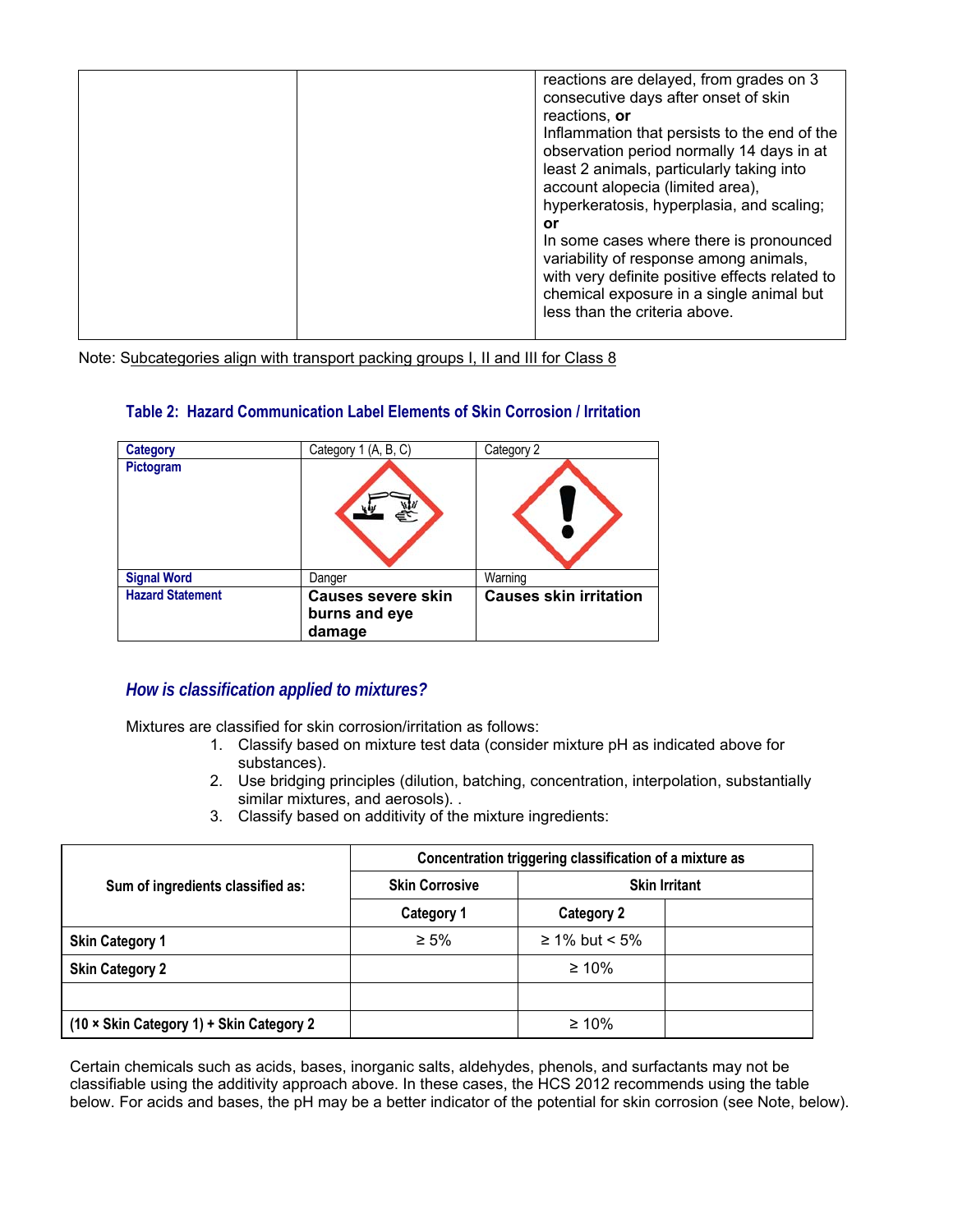| reactions are delayed, from grades on 3                                   |
|---------------------------------------------------------------------------|
| consecutive days after onset of skin                                      |
| reactions, or                                                             |
| Inflammation that persists to the end of the                              |
| observation period normally 14 days in at                                 |
| least 2 animals, particularly taking into                                 |
| account alopecia (limited area),                                          |
| hyperkeratosis, hyperplasia, and scaling;                                 |
| or                                                                        |
| In some cases where there is pronounced                                   |
| variability of response among animals,                                    |
| with very definite positive effects related to                            |
| chemical exposure in a single animal but<br>less than the criteria above. |
|                                                                           |
|                                                                           |

Note: Subcategories align with transport packing groups I, II and III for Class 8

| <b>Category</b>         | Category 1 (A, B, C)                                 | Category 2                    |
|-------------------------|------------------------------------------------------|-------------------------------|
| Pictogram               |                                                      |                               |
| <b>Signal Word</b>      | Danger                                               | Warning                       |
| <b>Hazard Statement</b> | <b>Causes severe skin</b><br>burns and eye<br>damage | <b>Causes skin irritation</b> |

#### **Table 2: Hazard Communication Label Elements of Skin Corrosion / Irritation**

### *How is classification applied to mixtures?*

Mixtures are classified for skin corrosion/irritation as follows:

- 1. Classify based on mixture test data (consider mixture pH as indicated above for substances).
- 2. Use bridging principles (dilution, batching, concentration, interpolation, substantially similar mixtures, and aerosols). .
- 3. Classify based on additivity of the mixture ingredients:

|                                          | Concentration triggering classification of a mixture as |                   |  |
|------------------------------------------|---------------------------------------------------------|-------------------|--|
| Sum of ingredients classified as:        | <b>Skin Corrosive</b><br><b>Skin Irritant</b>           |                   |  |
|                                          | <b>Category 1</b>                                       | <b>Category 2</b> |  |
| <b>Skin Category 1</b>                   | $\geq 5\%$                                              | ≥ 1% but < 5%     |  |
| <b>Skin Category 2</b>                   |                                                         | $\geq 10\%$       |  |
|                                          |                                                         |                   |  |
| (10 × Skin Category 1) + Skin Category 2 |                                                         | $\geq 10\%$       |  |

Certain chemicals such as acids, bases, inorganic salts, aldehydes, phenols, and surfactants may not be classifiable using the additivity approach above. In these cases, the HCS 2012 recommends using the table below. For acids and bases, the pH may be a better indicator of the potential for skin corrosion (see Note, below).